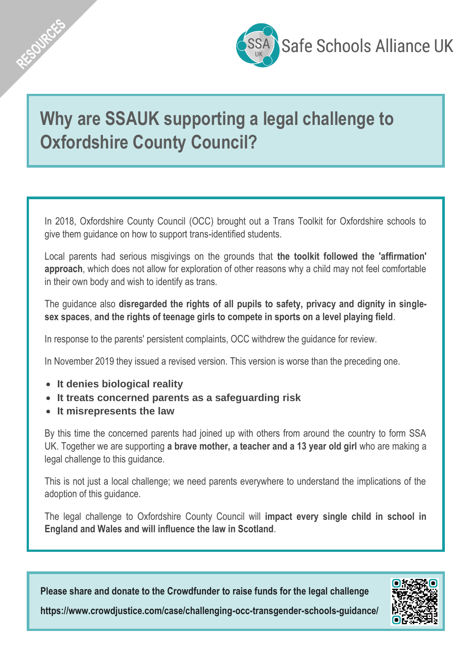

# **Why are SSAUK supporting a legal challenge to Oxfordshire County Council?**

In 2018, Oxfordshire County Council (OCC) brought out a Trans Toolkit for Oxfordshire schools to give them guidance on how to support trans-identified students.

Local parents had serious misgivings on the grounds that **the toolkit followed the 'affirmation' approach**, which does not allow for exploration of other reasons why a child may not feel comfortable in their own body and wish to identify as trans.

The guidance also **disregarded the rights of all pupils to safety, privacy and dignity in singlesex spaces**, **and the rights of teenage girls to compete in sports on a level playing field**.

In response to the parents' persistent complaints, OCC withdrew the guidance for review.

In November 2019 they issued a revised version. This version is worse than the preceding one.

• **It denies biological reality**

AESOURCES

- **It treats concerned parents as a safeguarding risk**
- **It misrepresents the law**

By this time the concerned parents had joined up with others from around the country to form SSA UK. Together we are supporting **a brave mother, a teacher and a 13 year old girl** who are making a legal challenge to this guidance.

This is not just a local challenge; we need parents everywhere to understand the implications of the adoption of this guidance.

The legal challenge to Oxfordshire County Council will **impact every single child in school in England and Wales and will influence the law in Scotland**.

**Please share and donate to the Crowdfunder to raise funds for the legal challenge**



**<https://www.crowdjustice.com/case/challenging-occ-transgender-schools-guidance/>**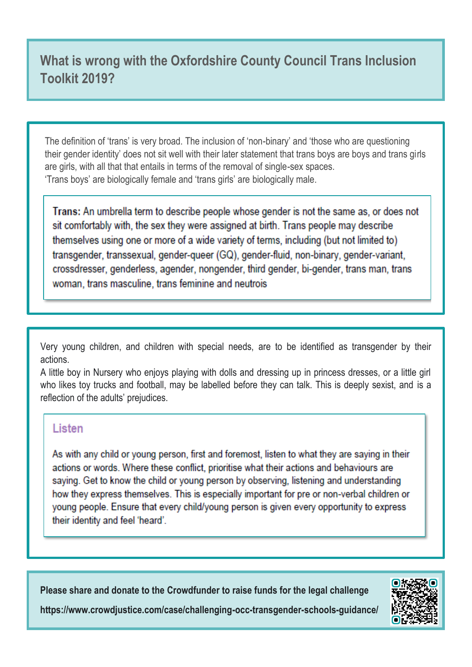## **What is wrong with the Oxfordshire County Council Trans Inclusion Toolkit 2019?**

The definition of 'trans' is very broad. The inclusion of 'non-binary' and 'those who are questioning their gender identity' does not sit well with their later statement that trans boys are boys and trans girls are girls, with all that that entails in terms of the removal of single-sex spaces. 'Trans boys' are biologically female and 'trans girls' are biologically male.

Trans: An umbrella term to describe people whose gender is not the same as, or does not sit comfortably with, the sex they were assigned at birth. Trans people may describe themselves using one or more of a wide variety of terms, including (but not limited to) transgender, transsexual, gender-queer (GQ), gender-fluid, non-binary, gender-variant, crossdresser, genderless, agender, nongender, third gender, bi-gender, trans man, trans woman, trans masculine, trans feminine and neutrois

Very young children, and children with special needs, are to be identified as transgender by their actions.

A little boy in Nursery who enjoys playing with dolls and dressing up in princess dresses, or a little girl who likes toy trucks and football, may be labelled before they can talk. This is deeply sexist, and is a reflection of the adults' prejudices.

#### Listen

As with any child or young person, first and foremost, listen to what they are saying in their actions or words. Where these conflict, prioritise what their actions and behaviours are saying. Get to know the child or young person by observing, listening and understanding how they express themselves. This is especially important for pre or non-verbal children or young people. Ensure that every child/young person is given every opportunity to express their identity and feel 'heard'.

**Please share and donate to the Crowdfunder to raise funds for the legal challenge**



**<https://www.crowdjustice.com/case/challenging-occ-transgender-schools-guidance/>**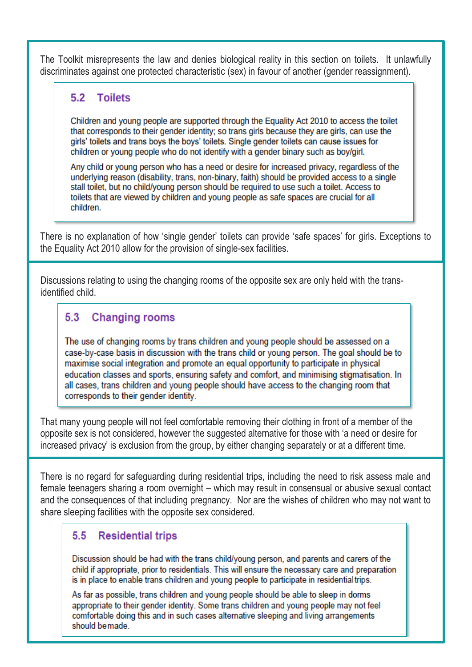The Toolkit misrepresents the law and denies biological reality in this section on toilets. It unlawfully discriminates against one protected characteristic (sex) in favour of another (gender reassignment).

### 5.2 Toilets

Children and young people are supported through the Equality Act 2010 to access the toilet that corresponds to their gender identity; so trans girls because they are girls, can use the girls' toilets and trans boys the boys' toilets. Single gender toilets can cause issues for children or young people who do not identify with a gender binary such as boy/girl.

Any child or young person who has a need or desire for increased privacy, regardless of the underlying reason (disability, trans, non-binary, faith) should be provided access to a single stall toilet, but no child/young person should be required to use such a toilet. Access to toilets that are viewed by children and young people as safe spaces are crucial for all children

There is no explanation of how 'single gender' toilets can provide 'safe spaces' for girls. Exceptions to the Equality Act 2010 allow for the provision of single-sex facilities.

Discussions relating to using the changing rooms of the opposite sex are only held with the transidentified child.

#### 53 **Changing rooms**

The use of changing rooms by trans children and young people should be assessed on a case-by-case basis in discussion with the trans child or young person. The goal should be to maximise social integration and promote an equal opportunity to participate in physical education classes and sports, ensuring safety and comfort, and minimising stigmatisation. In all cases, trans children and young people should have access to the changing room that corresponds to their gender identity.

That many young people will not feel comfortable removing their clothing in front of a member of the opposite sex is not considered, however the suggested alternative for those with 'a need or desire for increased privacy' is exclusion from the group, by either changing separately or at a different time.

There is no regard for safeguarding during residential trips, including the need to risk assess male and female teenagers sharing a room overnight – which may result in consensual or abusive sexual contact and the consequences of that including pregnancy. Nor are the wishes of children who may not want to share sleeping facilities with the opposite sex considered.

### 5.5 Residential trips

Discussion should be had with the trans child/young person, and parents and carers of the child if appropriate, prior to residentials. This will ensure the necessary care and preparation is in place to enable trans children and young people to participate in residential trips.

As far as possible, trans children and young people should be able to sleep in dorms appropriate to their gender identity. Some trans children and young people may not feel comfortable doing this and in such cases alternative sleeping and living arrangements should bemade.